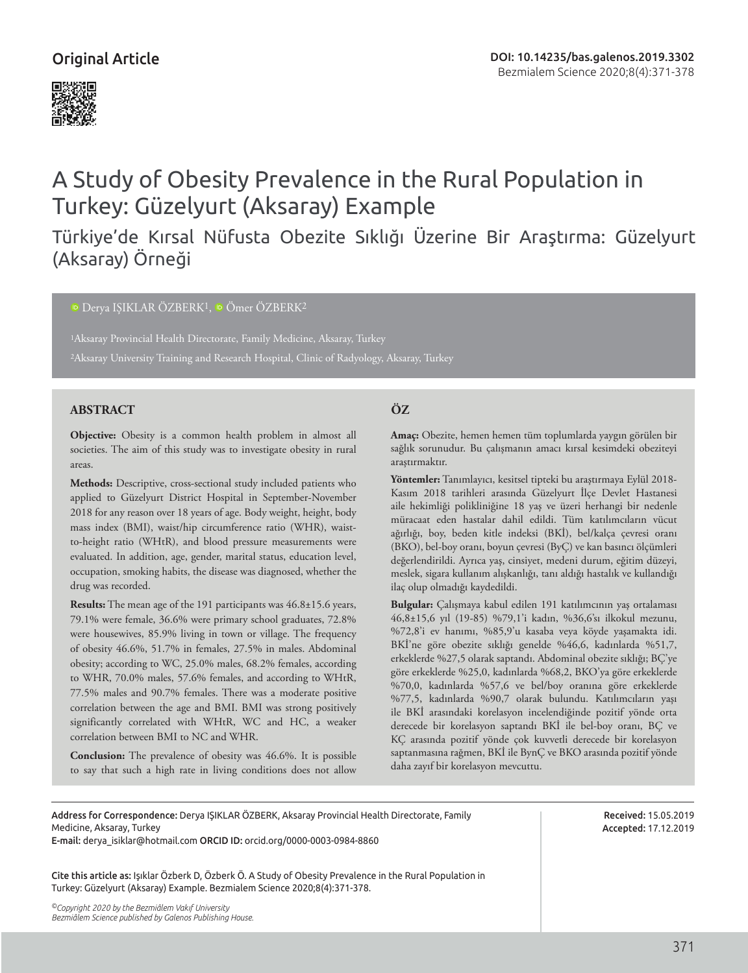

# A Study of Obesity Prevalence in the Rural Population in Turkey: Güzelyurt (Aksaray) Example

# Türkiye'de Kırsal Nüfusta Obezite Sıklığı Üzerine Bir Araştırma: Güzelyurt (Aksaray) Örneği

# <sup>D</sup>Derya ISIKLAR ÖZBERK<sup>1</sup>, <sup>D</sup> Ömer ÖZBERK<sup>2</sup>

2Aksaray University Training and Research Hospital, Clinic of Radyology, Aksaray, Turkey

# **ABSTRACT ÖZ**

**Objective:** Obesity is a common health problem in almost all societies. The aim of this study was to investigate obesity in rural areas.

**Methods:** Descriptive, cross-sectional study included patients who applied to Güzelyurt District Hospital in September-November 2018 for any reason over 18 years of age. Body weight, height, body mass index (BMI), waist/hip circumference ratio (WHR), waistto-height ratio (WHtR), and blood pressure measurements were evaluated. In addition, age, gender, marital status, education level, occupation, smoking habits, the disease was diagnosed, whether the drug was recorded.

**Results:** The mean age of the 191 participants was 46.8±15.6 years, 79.1% were female, 36.6% were primary school graduates, 72.8% were housewives, 85.9% living in town or village. The frequency of obesity 46.6%, 51.7% in females, 27.5% in males. Abdominal obesity; according to WC, 25.0% males, 68.2% females, according to WHR, 70.0% males, 57.6% females, and according to WHtR, 77.5% males and 90.7% females. There was a moderate positive correlation between the age and BMI. BMI was strong positively significantly correlated with WHtR, WC and HC, a weaker correlation between BMI to NC and WHR.

**Conclusion:** The prevalence of obesity was 46.6%. It is possible to say that such a high rate in living conditions does not allow

**Amaç:** Obezite, hemen hemen tüm toplumlarda yaygın görülen bir sağlık sorunudur. Bu çalışmanın amacı kırsal kesimdeki obeziteyi araştırmaktır.

**Yöntemler:** Tanımlayıcı, kesitsel tipteki bu araştırmaya Eylül 2018- Kasım 2018 tarihleri arasında Güzelyurt İlçe Devlet Hastanesi aile hekimliği polikliniğine 18 yaş ve üzeri herhangi bir nedenle müracaat eden hastalar dahil edildi. Tüm katılımcıların vücut ağırlığı, boy, beden kitle indeksi (BKİ), bel/kalça çevresi oranı (BKO), bel-boy oranı, boyun çevresi (ByÇ) ve kan basıncı ölçümleri değerlendirildi. Ayrıca yaş, cinsiyet, medeni durum, eğitim düzeyi, meslek, sigara kullanım alışkanlığı, tanı aldığı hastalık ve kullandığı ilaç olup olmadığı kaydedildi.

**Bulgular:** Çalışmaya kabul edilen 191 katılımcının yaş ortalaması 46,8±15,6 yıl (19-85) %79,1'i kadın, %36,6'sı ilkokul mezunu, %72,8'i ev hanımı, %85,9'u kasaba veya köyde yaşamakta idi. BKİ'ne göre obezite sıklığı genelde %46,6, kadınlarda %51,7, erkeklerde %27,5 olarak saptandı. Abdominal obezite sıklığı; BÇ'ye göre erkeklerde %25,0, kadınlarda %68,2, BKO'ya göre erkeklerde %70,0, kadınlarda %57,6 ve bel/boy oranına göre erkeklerde %77,5, kadınlarda %90,7 olarak bulundu. Katılımcıların yaşı ile BKİ arasındaki korelasyon incelendiğinde pozitif yönde orta derecede bir korelasyon saptandı BKİ ile bel-boy oranı, BÇ ve KÇ arasında pozitif yönde çok kuvvetli derecede bir korelasyon saptanmasına rağmen, BKİ ile BynÇ ve BKO arasında pozitif yönde daha zayıf bir korelasyon mevcuttu.

Address for Correspondence: Derya IŞIKLAR ÖZBERK, Aksaray Provincial Health Directorate, Family Medicine, Aksaray, Turkey

E-mail: derya\_isiklar@hotmail.com ORCID ID: orcid.org/0000-0003-0984-8860

Cite this article as: Işıklar Özberk D, Özberk Ö. A Study of Obesity Prevalence in the Rural Population in Turkey: Güzelyurt (Aksaray) Example. Bezmialem Science 2020;8(4):371-378.

Received: 15.05.2019 Accepted: 17.12.2019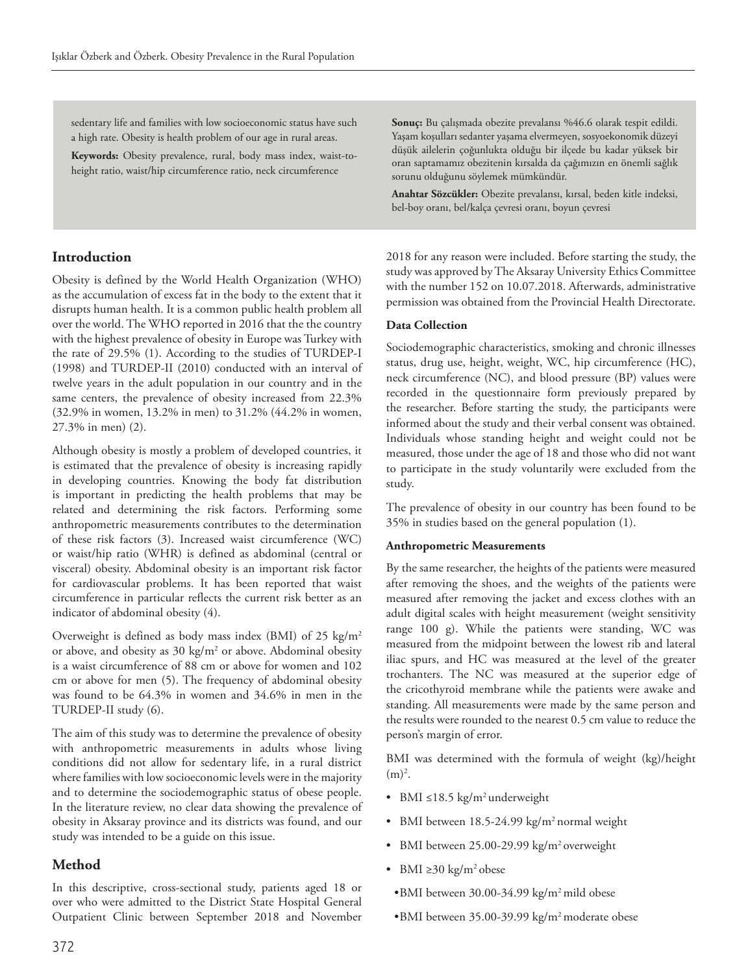sedentary life and families with low socioeconomic status have such a high rate. Obesity is health problem of our age in rural areas.

**Keywords:** Obesity prevalence, rural, body mass index, waist-toheight ratio, waist/hip circumference ratio, neck circumference

# **Introduction**

Obesity is defined by the World Health Organization (WHO) as the accumulation of excess fat in the body to the extent that it disrupts human health. It is a common public health problem all over the world. The WHO reported in 2016 that the the country with the highest prevalence of obesity in Europe was Turkey with the rate of 29.5% (1). According to the studies of TURDEP-I (1998) and TURDEP-II (2010) conducted with an interval of twelve years in the adult population in our country and in the same centers, the prevalence of obesity increased from 22.3% (32.9% in women, 13.2% in men) to 31.2% (44.2% in women, 27.3% in men) (2).

Although obesity is mostly a problem of developed countries, it is estimated that the prevalence of obesity is increasing rapidly in developing countries. Knowing the body fat distribution is important in predicting the health problems that may be related and determining the risk factors. Performing some anthropometric measurements contributes to the determination of these risk factors (3). Increased waist circumference (WC) or waist/hip ratio (WHR) is defined as abdominal (central or visceral) obesity. Abdominal obesity is an important risk factor for cardiovascular problems. It has been reported that waist circumference in particular reflects the current risk better as an indicator of abdominal obesity (4).

Overweight is defined as body mass index (BMI) of 25 kg/m<sup>2</sup> or above, and obesity as 30 kg/m<sup>2</sup> or above. Abdominal obesity is a waist circumference of 88 cm or above for women and 102 cm or above for men (5). The frequency of abdominal obesity was found to be 64.3% in women and 34.6% in men in the TURDEP-II study (6).

The aim of this study was to determine the prevalence of obesity with anthropometric measurements in adults whose living conditions did not allow for sedentary life, in a rural district where families with low socioeconomic levels were in the majority and to determine the sociodemographic status of obese people. In the literature review, no clear data showing the prevalence of obesity in Aksaray province and its districts was found, and our study was intended to be a guide on this issue.

### **Method**

In this descriptive, cross-sectional study, patients aged 18 or over who were admitted to the District State Hospital General Outpatient Clinic between September 2018 and November **Sonuç:** Bu çalışmada obezite prevalansı %46.6 olarak tespit edildi. Yaşam koşulları sedanter yaşama elvermeyen, sosyoekonomik düzeyi düşük ailelerin çoğunlukta olduğu bir ilçede bu kadar yüksek bir oran saptamamız obezitenin kırsalda da çağımızın en önemli sağlık sorunu olduğunu söylemek mümkündür.

**Anahtar Sözcükler:** Obezite prevalansı, kırsal, beden kitle indeksi, bel-boy oranı, bel/kalça çevresi oranı, boyun çevresi

2018 for any reason were included. Before starting the study, the study was approved by The Aksaray University Ethics Committee with the number 152 on 10.07.2018. Afterwards, administrative permission was obtained from the Provincial Health Directorate.

# **Data Collection**

Sociodemographic characteristics, smoking and chronic illnesses status, drug use, height, weight, WC, hip circumference (HC), neck circumference (NC), and blood pressure (BP) values were recorded in the questionnaire form previously prepared by the researcher. Before starting the study, the participants were informed about the study and their verbal consent was obtained. Individuals whose standing height and weight could not be measured, those under the age of 18 and those who did not want to participate in the study voluntarily were excluded from the study.

The prevalence of obesity in our country has been found to be 35% in studies based on the general population (1).

#### **Anthropometric Measurements**

By the same researcher, the heights of the patients were measured after removing the shoes, and the weights of the patients were measured after removing the jacket and excess clothes with an adult digital scales with height measurement (weight sensitivity range 100 g). While the patients were standing, WC was measured from the midpoint between the lowest rib and lateral iliac spurs, and HC was measured at the level of the greater trochanters. The NC was measured at the superior edge of the cricothyroid membrane while the patients were awake and standing. All measurements were made by the same person and the results were rounded to the nearest 0.5 cm value to reduce the person's margin of error.

BMI was determined with the formula of weight (kg)/height  $(m)<sup>2</sup>$ .

- BMI  $\leq$ 18.5 kg/m<sup>2</sup> underweight
- BMI between 18.5-24.99 kg/m<sup>2</sup> normal weight
- BMI between 25.00-29.99 kg/m2 overweight
- BMI  $\geq$ 30 kg/m<sup>2</sup> obese
- •BMI between 30.00-34.99 kg/m2 mild obese
- •BMI between 35.00-39.99 kg/m2 moderate obese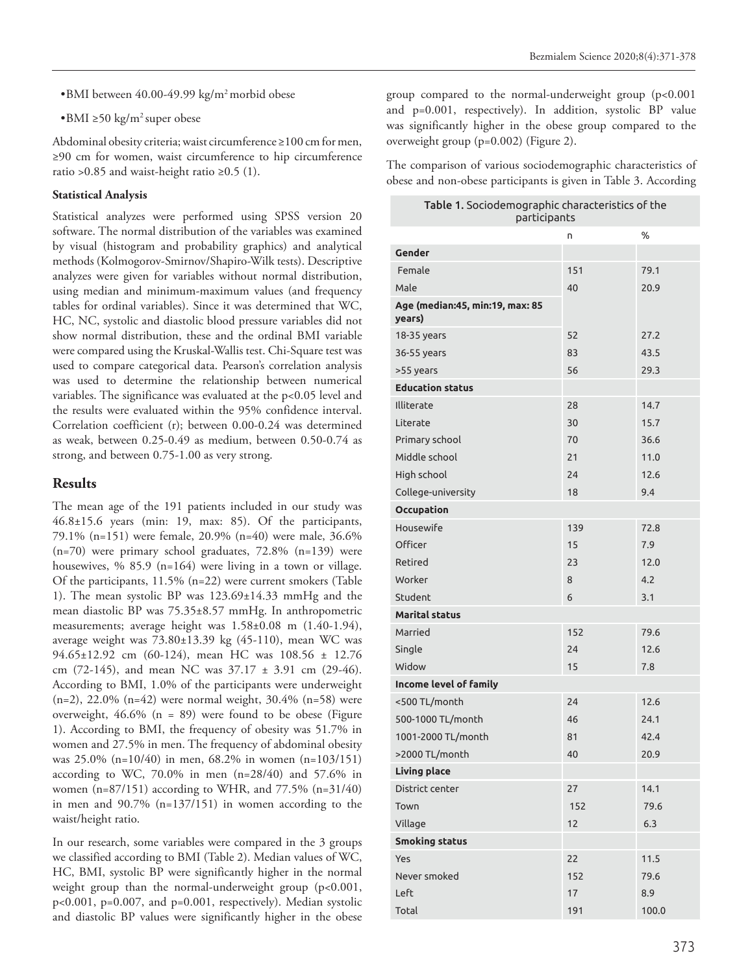- •BMI between 40.00-49.99 kg/m2 morbid obese
- •BMI  $\geq 50 \text{ kg/m}^2$  super obese

Abdominal obesity criteria; waist circumference ≥100 cm for men, ≥90 cm for women, waist circumference to hip circumference ratio >0.85 and waist-height ratio  $\geq 0.5$  (1).

#### **Statistical Analysis**

Statistical analyzes were performed using SPSS version 20 software. The normal distribution of the variables was examined by visual (histogram and probability graphics) and analytical methods (Kolmogorov-Smirnov/Shapiro-Wilk tests). Descriptive analyzes were given for variables without normal distribution, using median and minimum-maximum values (and frequency tables for ordinal variables). Since it was determined that WC, HC, NC, systolic and diastolic blood pressure variables did not show normal distribution, these and the ordinal BMI variable were compared using the Kruskal-Wallis test. Chi-Square test was used to compare categorical data. Pearson's correlation analysis was used to determine the relationship between numerical variables. The significance was evaluated at the p<0.05 level and the results were evaluated within the 95% confidence interval. Correlation coefficient (r); between 0.00-0.24 was determined as weak, between 0.25-0.49 as medium, between 0.50-0.74 as strong, and between 0.75-1.00 as very strong.

# **Results**

The mean age of the 191 patients included in our study was 46.8±15.6 years (min: 19, max: 85). Of the participants, 79.1% (n=151) were female, 20.9% (n=40) were male, 36.6% (n=70) were primary school graduates, 72.8% (n=139) were housewives, % 85.9 (n=164) were living in a town or village. Of the participants, 11.5% (n=22) were current smokers (Table 1). The mean systolic BP was 123.69±14.33 mmHg and the mean diastolic BP was 75.35±8.57 mmHg. In anthropometric measurements; average height was 1.58±0.08 m (1.40-1.94), average weight was 73.80±13.39 kg (45-110), mean WC was 94.65±12.92 cm (60-124), mean HC was 108.56 ± 12.76 cm (72-145), and mean NC was 37.17 ± 3.91 cm (29-46). According to BMI, 1.0% of the participants were underweight (n=2), 22.0% (n=42) were normal weight, 30.4% (n=58) were overweight, 46.6% (n = 89) were found to be obese (Figure 1). According to BMI, the frequency of obesity was 51.7% in women and 27.5% in men. The frequency of abdominal obesity was 25.0% (n=10/40) in men, 68.2% in women (n=103/151) according to WC,  $70.0\%$  in men  $(n=28/40)$  and  $57.6\%$  in women (n=87/151) according to WHR, and 77.5% (n=31/40) in men and 90.7% (n=137/151) in women according to the waist/height ratio.

In our research, some variables were compared in the 3 groups we classified according to BMI (Table 2). Median values of WC, HC, BMI, systolic BP were significantly higher in the normal weight group than the normal-underweight group (p<0.001, p<0.001, p=0.007, and p=0.001, respectively). Median systolic and diastolic BP values were significantly higher in the obese

group compared to the normal-underweight group (p<0.001 and p=0.001, respectively). In addition, systolic BP value was significantly higher in the obese group compared to the overweight group (p=0.002) (Figure 2).

The comparison of various sociodemographic characteristics of obese and non-obese participants is given in Table 3. According

| Table 1. Sociodemographic characteristics of the<br>participants |     |       |
|------------------------------------------------------------------|-----|-------|
|                                                                  | n   | %     |
| Gender                                                           |     |       |
| Female                                                           | 151 | 79.1  |
| Male                                                             | 40  | 20.9  |
| Age (median: 45, min: 19, max: 85                                |     |       |
| years)                                                           |     |       |
| 18-35 years                                                      | 52  | 27.2  |
| 36-55 years                                                      | 83  | 43.5  |
| >55 years                                                        | 56  | 29.3  |
| <b>Education status</b>                                          |     |       |
| Illiterate                                                       | 28  | 14.7  |
| Literate                                                         | 30  | 15.7  |
| Primary school                                                   | 70  | 36.6  |
| Middle school                                                    | 21  | 11.0  |
| High school                                                      | 24  | 12.6  |
| College-university                                               | 18  | 9.4   |
| <b>Occupation</b>                                                |     |       |
| Housewife                                                        | 139 | 72.8  |
| Officer                                                          | 15  | 7.9   |
| Retired                                                          | 23  | 12.0  |
| Worker                                                           | 8   | 4.2   |
| Student                                                          | 6   | 3.1   |
| <b>Marital status</b>                                            |     |       |
| Married                                                          | 152 | 79.6  |
| Single                                                           | 24  | 12.6  |
| Widow                                                            | 15  | 7.8   |
| <b>Income level of family</b>                                    |     |       |
| <500 TL/month                                                    | 24  | 12.6  |
| 500-1000 TL/month                                                | 46  | 24.1  |
| 1001-2000 TL/month                                               | 81  | 42.4  |
| >2000 TL/month                                                   | 40  | 20.9  |
| Living place                                                     |     |       |
| District center                                                  | 27  | 14.1  |
| Town                                                             | 152 | 79.6  |
| Village                                                          | 12  | 6.3   |
| <b>Smoking status</b>                                            |     |       |
| Yes                                                              | 22  | 11.5  |
| Never smoked                                                     | 152 | 79.6  |
| Left                                                             | 17  | 8.9   |
| Total                                                            | 191 | 100.0 |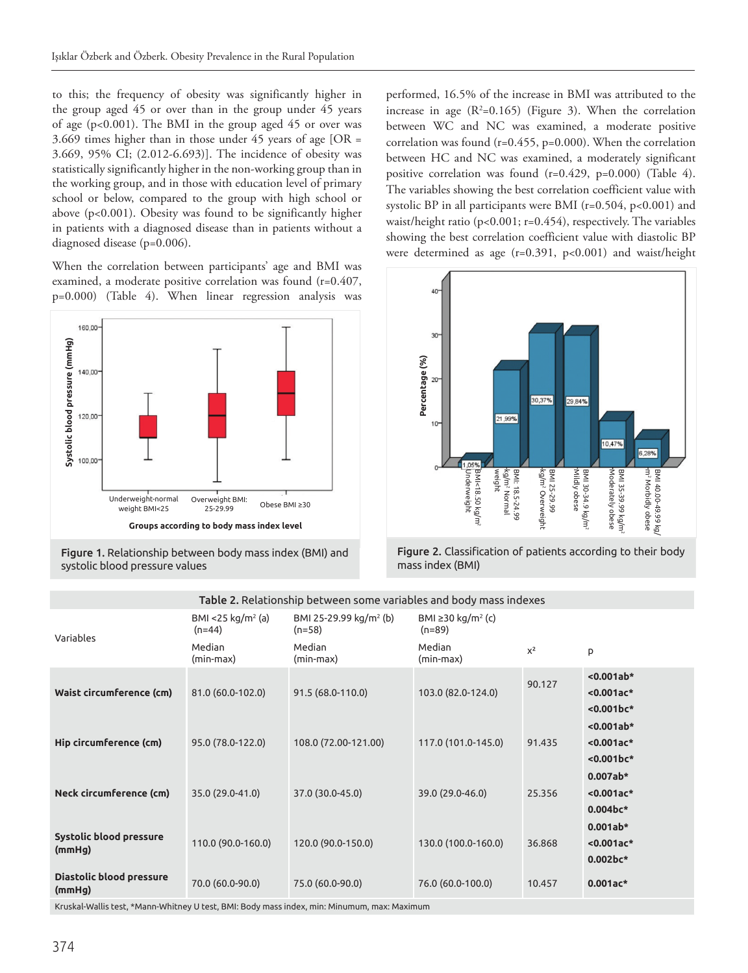to this; the frequency of obesity was significantly higher in the group aged 45 or over than in the group under 45 years of age (p<0.001). The BMI in the group aged 45 or over was 3.669 times higher than in those under 45 years of age [OR  $=$ 3.669, 95% CI; (2.012-6.693)]. The incidence of obesity was statistically significantly higher in the non-working group than in the working group, and in those with education level of primary school or below, compared to the group with high school or above (p<0.001). Obesity was found to be significantly higher in patients with a diagnosed disease than in patients without a diagnosed disease (p=0.006).

When the correlation between participants' age and BMI was examined, a moderate positive correlation was found (r=0.407, p=0.000) (Table 4). When linear regression analysis was



Figure 1. Relationship between body mass index (BMI) and

performed, 16.5% of the increase in BMI was attributed to the increase in age  $(R^2=0.165)$  (Figure 3). When the correlation between WC and NC was examined, a moderate positive correlation was found (r=0.455, p=0.000). When the correlation between HC and NC was examined, a moderately significant positive correlation was found (r=0.429, p=0.000) (Table 4). The variables showing the best correlation coefficient value with systolic BP in all participants were BMI ( $r=0.504$ ,  $p<0.001$ ) and waist/height ratio (p<0.001; r=0.454), respectively. The variables showing the best correlation coefficient value with diastolic BP were determined as age (r=0.391, p<0.001) and waist/height





|                                                                                             |                                           | Table 2. Relationship between some variables and body mass indexes |                                           |        |                                             |  |  |
|---------------------------------------------------------------------------------------------|-------------------------------------------|--------------------------------------------------------------------|-------------------------------------------|--------|---------------------------------------------|--|--|
| Variables                                                                                   | BMI <25 kg/m <sup>2</sup> (a)<br>$(n=44)$ | BMI 25-29.99 kg/m <sup>2</sup> (b)<br>$(n=58)$                     | BMI ≥30 kg/m <sup>2</sup> (c)<br>$(n=89)$ |        |                                             |  |  |
|                                                                                             | Median<br>(min-max)                       | Median<br>(min-max)                                                | Median<br>(min-max)                       | $x^2$  | p                                           |  |  |
| Waist circumference (cm)                                                                    | 81.0 (60.0-102.0)                         | 91.5 (68.0-110.0)                                                  | 103.0 (82.0-124.0)                        | 90.127 | $<0.001ab*$<br>$< 0.001$ ac*<br>$<0.001bc*$ |  |  |
| Hip circumference (cm)                                                                      | 95.0 (78.0-122.0)                         | 108.0 (72.00-121.00)                                               | 117.0 (101.0-145.0)                       | 91.435 | $<0.001ab*$<br>$< 0.001$ ac*<br>$<0.001bc*$ |  |  |
| Neck circumference (cm)                                                                     | 35.0 (29.0-41.0)                          | 37.0 (30.0-45.0)                                                   | 39.0 (29.0-46.0)                          | 25.356 | $0.007ab*$<br>$< 0.001$ ac*<br>$0.004bc*$   |  |  |
| Systolic blood pressure<br>(mmHg)                                                           | 110.0 (90.0-160.0)                        | 120.0 (90.0-150.0)                                                 | 130.0 (100.0-160.0)                       | 36.868 | $0.001ab*$<br>$< 0.001$ ac*<br>$0.002bc*$   |  |  |
| Diastolic blood pressure<br>(mmHg)                                                          | 70.0 (60.0-90.0)                          | 75.0 (60.0-90.0)                                                   | 76.0 (60.0-100.0)                         | 10.457 | $0.001ac*$                                  |  |  |
| Kruskal-Wallis test, *Mann-Whitney U test, BMI: Body mass index, min: Minumum, max: Maximum |                                           |                                                                    |                                           |        |                                             |  |  |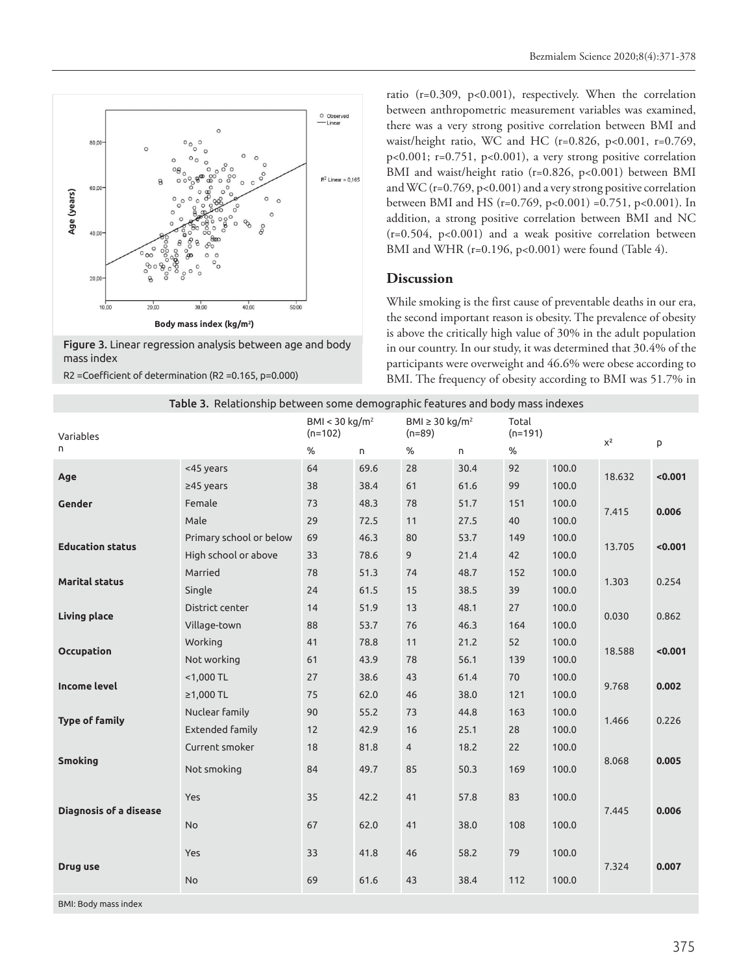

Figure 3. Linear regression analysis between age and body mass index

ratio (r=0.309, p<0.001), respectively. When the correlation between anthropometric measurement variables was examined, there was a very strong positive correlation between BMI and waist/height ratio, WC and HC (r=0.826, p<0.001, r=0.769, p<0.001; r=0.751, p<0.001), a very strong positive correlation BMI and waist/height ratio (r=0.826, p<0.001) between BMI and WC ( $r=0.769$ ,  $p<0.001$ ) and a very strong positive correlation between BMI and HS (r=0.769, p<0.001) =0.751, p<0.001). In addition, a strong positive correlation between BMI and NC (r=0.504, p<0.001) and a weak positive correlation between BMI and WHR (r=0.196, p<0.001) were found (Table 4).

# **Discussion**

While smoking is the first cause of preventable deaths in our era, the second important reason is obesity. The prevalence of obesity is above the critically high value of 30% in the adult population in our country. In our study, it was determined that 30.4% of the participants were overweight and 46.6% were obese according to BMI. The frequency of obesity according to BMI was 51.7% in

| Table 3. Relationship between some demographic features and body mass indexes |                         |                                         |      |                                             |      |                    |       |        |         |
|-------------------------------------------------------------------------------|-------------------------|-----------------------------------------|------|---------------------------------------------|------|--------------------|-------|--------|---------|
| Variables                                                                     |                         | BMI < 30 kg/m <sup>2</sup><br>$(n=102)$ |      | BMI $\geq$ 30 kg/m <sup>2</sup><br>$(n=89)$ |      | Total<br>$(n=191)$ |       |        |         |
| U                                                                             |                         | $\%$                                    | n.   | $\%$                                        | n    | $\%$               |       | $X^2$  | P       |
| Age                                                                           | <45 years               | 64                                      | 69.6 | 28                                          | 30.4 | 92                 | 100.0 |        |         |
|                                                                               | $≥45$ years             | 38                                      | 38.4 | 61                                          | 61.6 | 99                 | 100.0 | 18.632 | < 0.001 |
| Gender                                                                        | Female                  | 73                                      | 48.3 | 78                                          | 51.7 | 151                | 100.0 |        |         |
|                                                                               | Male                    | 29                                      | 72.5 | 11                                          | 27.5 | 40                 | 100.0 | 7.415  | 0.006   |
| <b>Education status</b>                                                       | Primary school or below | 69                                      | 46.3 | 80                                          | 53.7 | 149                | 100.0 | 13.705 | < 0.001 |
|                                                                               | High school or above    | 33                                      | 78.6 | 9                                           | 21.4 | 42                 | 100.0 |        |         |
| <b>Marital status</b>                                                         | Married                 | 78                                      | 51.3 | 74                                          | 48.7 | 152                | 100.0 | 1.303  | 0.254   |
|                                                                               | Single                  | 24                                      | 61.5 | 15                                          | 38.5 | 39                 | 100.0 |        |         |
|                                                                               | District center         | 14                                      | 51.9 | 13                                          | 48.1 | 27                 | 100.0 | 0.030  | 0.862   |
| Living place                                                                  | Village-town            | 88                                      | 53.7 | 76                                          | 46.3 | 164                | 100.0 |        |         |
|                                                                               | Working                 | 41                                      | 78.8 | 11                                          | 21.2 | 52                 | 100.0 | 18.588 | < 0.001 |
| <b>Occupation</b>                                                             | Not working             | 61                                      | 43.9 | 78                                          | 56.1 | 139                | 100.0 |        |         |
| <b>Income level</b>                                                           | $<$ 1,000 TL            | 27                                      | 38.6 | 43                                          | 61.4 | 70                 | 100.0 | 9.768  | 0.002   |
|                                                                               | $≥1,000$ TL             | 75                                      | 62.0 | 46                                          | 38.0 | 121                | 100.0 |        |         |
| <b>Type of family</b>                                                         | Nuclear family          | 90                                      | 55.2 | 73                                          | 44.8 | 163                | 100.0 | 1.466  | 0.226   |
|                                                                               | <b>Extended family</b>  | 12                                      | 42.9 | 16                                          | 25.1 | 28                 | 100.0 |        |         |
|                                                                               | Current smoker          | 18                                      | 81.8 | 4                                           | 18.2 | 22                 | 100.0 |        |         |
| <b>Smoking</b>                                                                | Not smoking             | 84                                      | 49.7 | 85                                          | 50.3 | 169                | 100.0 | 8.068  | 0.005   |
|                                                                               |                         |                                         |      |                                             |      |                    |       |        |         |
| Diagnosis of a disease                                                        | Yes                     | 35                                      | 42.2 | 41                                          | 57.8 | 83                 | 100.0 |        |         |
|                                                                               | No                      | 67                                      | 62.0 | 41                                          | 38.0 | 108                | 100.0 | 7.445  | 0.006   |
|                                                                               |                         |                                         |      |                                             |      |                    |       |        |         |
|                                                                               | Yes                     | 33                                      | 41.8 | 46                                          | 58.2 | 79                 | 100.0 |        |         |
| Drug use                                                                      |                         | 69                                      | 61.6 | 43                                          | 38.4 | 112                | 100.0 | 7.324  | 0.007   |
|                                                                               | No                      |                                         |      |                                             |      |                    |       |        |         |
| BMI: Body mass index                                                          |                         |                                         |      |                                             |      |                    |       |        |         |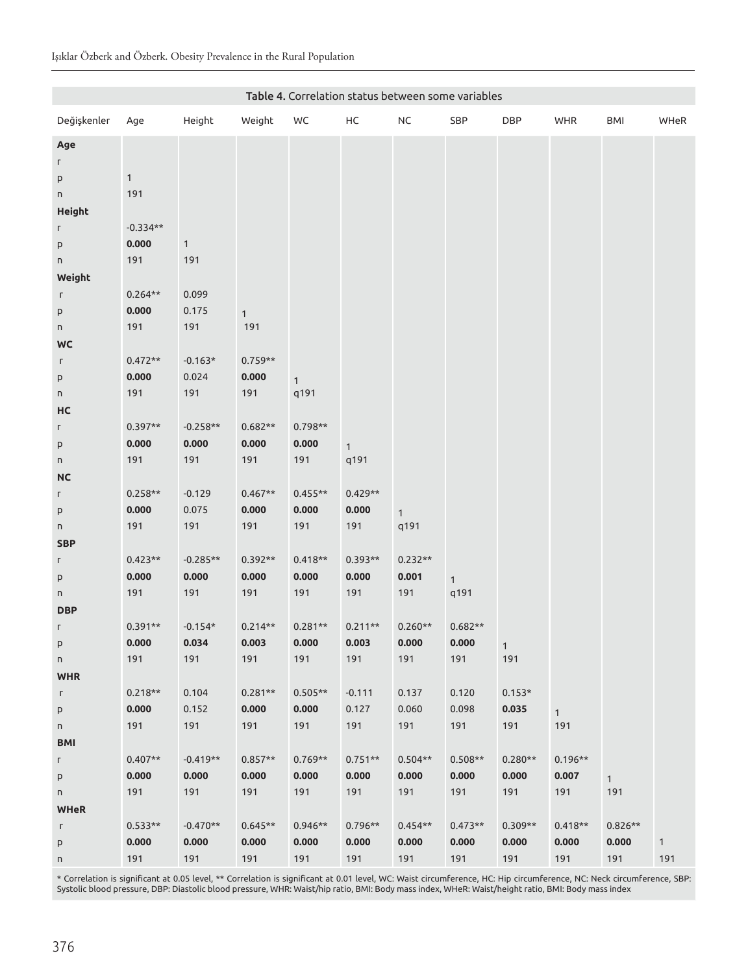| Table 4. Correlation status between some variables |                     |              |                    |                    |                    |                      |              |           |            |              |              |
|----------------------------------------------------|---------------------|--------------|--------------------|--------------------|--------------------|----------------------|--------------|-----------|------------|--------------|--------------|
| Değişkenler                                        | Age                 | Height       | Weight             | WC                 | $\sf HC$           | ${\sf NC}$           | SBP          | DBP       | <b>WHR</b> | BMI          | WHeR         |
| Age                                                |                     |              |                    |                    |                    |                      |              |           |            |              |              |
| Г                                                  |                     |              |                    |                    |                    |                      |              |           |            |              |              |
| P<br>n                                             | $\mathbf{1}$<br>191 |              |                    |                    |                    |                      |              |           |            |              |              |
| Height                                             |                     |              |                    |                    |                    |                      |              |           |            |              |              |
| г                                                  | $-0.334**$          |              |                    |                    |                    |                      |              |           |            |              |              |
| P                                                  | 0.000               | $\mathbf{1}$ |                    |                    |                    |                      |              |           |            |              |              |
| n                                                  | 191                 | 191          |                    |                    |                    |                      |              |           |            |              |              |
| Weight                                             |                     |              |                    |                    |                    |                      |              |           |            |              |              |
| Г                                                  | $0.264**$           | 0.099        |                    |                    |                    |                      |              |           |            |              |              |
| P                                                  | 0.000               | 0.175        | $\mathbf{1}$       |                    |                    |                      |              |           |            |              |              |
| n                                                  | 191                 | 191          | 191                |                    |                    |                      |              |           |            |              |              |
| <b>WC</b>                                          |                     |              |                    |                    |                    |                      |              |           |            |              |              |
| $\Gamma$                                           | $0.472**$           | $-0.163*$    | $0.759**$          |                    |                    |                      |              |           |            |              |              |
| P                                                  | 0.000               | 0.024        | 0.000              | $\mathbf{1}$       |                    |                      |              |           |            |              |              |
| n.                                                 | 191                 | 191          | 191                | q191               |                    |                      |              |           |            |              |              |
| HC                                                 |                     |              |                    |                    |                    |                      |              |           |            |              |              |
| г                                                  | $0.397**$           | $-0.258**$   | $0.682**$          | $0.798**$          |                    |                      |              |           |            |              |              |
| $\mathsf{p}$                                       | 0.000               | 0.000        | 0.000              | 0.000              | $\mathbf{1}$       |                      |              |           |            |              |              |
| n.                                                 | 191                 | 191          | 191                | 191                | q191               |                      |              |           |            |              |              |
| <b>NC</b>                                          | $0.258**$           | $-0.129$     |                    |                    |                    |                      |              |           |            |              |              |
| г                                                  | 0.000               | 0.075        | $0.467**$<br>0.000 | $0.455**$<br>0.000 | $0.429**$<br>0.000 |                      |              |           |            |              |              |
| $\mathsf{p}$<br>n                                  | 191                 | 191          | 191                | 191                | 191                | $\mathbf{1}$<br>q191 |              |           |            |              |              |
| <b>SBP</b>                                         |                     |              |                    |                    |                    |                      |              |           |            |              |              |
| Г                                                  | $0.423**$           | $-0.285**$   | $0.392**$          | $0.418**$          | $0.393**$          | $0.232**$            |              |           |            |              |              |
| $\mathsf{p}$                                       | 0.000               | 0.000        | 0.000              | 0.000              | 0.000              | 0.001                | $\mathbf{1}$ |           |            |              |              |
| n                                                  | 191                 | 191          | 191                | 191                | 191                | 191                  | q191         |           |            |              |              |
| <b>DBP</b>                                         |                     |              |                    |                    |                    |                      |              |           |            |              |              |
| Г                                                  | $0.391**$           | $-0.154*$    | $0.214**$          | $0.281**$          | $0.211**$          | $0.260**$            | $0.682**$    |           |            |              |              |
| P                                                  | 0.000               | 0.034        | 0.003              | 0.000              | 0.003              | 0.000                | 0.000        | 1         |            |              |              |
| n                                                  | 191                 | 191          | 191                | 191                | 191                | 191                  | 191          | 191       |            |              |              |
| <b>WHR</b>                                         |                     |              |                    |                    |                    |                      |              |           |            |              |              |
| $\Gamma$                                           | $0.218**$           | 0.104        | $0.281**$          | $0.505**$          | $-0.111$           | 0.137                | 0.120        | $0.153*$  |            |              |              |
| P                                                  | 0.000               | 0.152        | 0.000              | 0.000              | 0.127              | 0.060                | 0.098        | 0.035     | 1          |              |              |
| n.                                                 | 191                 | 191          | 191                | 191                | 191                | 191                  | 191          | 191       | 191        |              |              |
| <b>BMI</b>                                         |                     |              |                    |                    |                    |                      |              |           |            |              |              |
| Г                                                  | $0.407**$           | $-0.419**$   | $0.857**$          | $0.769**$          | $0.751**$          | $0.504**$            | $0.508**$    | $0.280**$ | $0.196**$  |              |              |
| P                                                  | 0.000               | 0.000        | 0.000              | 0.000              | 0.000              | 0.000                | 0.000        | 0.000     | 0.007      | $\mathbf{1}$ |              |
| n.                                                 | 191                 | 191          | 191                | 191                | 191                | 191                  | 191          | 191       | 191        | 191          |              |
| <b>WHeR</b>                                        | $0.533**$           | $-0.470**$   | $0.645**$          | $0.946**$          | $0.796**$          | $0.454**$            | $0.473**$    | $0.309**$ | $0.418**$  | $0.826**$    |              |
| Г<br>P                                             | 0.000               | 0.000        | 0.000              | 0.000              | 0.000              | 0.000                | 0.000        | 0.000     | 0.000      | 0.000        | $\mathbf{1}$ |
| n.                                                 | 191                 | 191          | 191                | 191                | 191                | 191                  | 191          | 191       | 191        | 191          | 191          |
|                                                    |                     |              |                    |                    |                    |                      |              |           |            |              |              |

\* Correlation is significant at 0.05 level, \*\* Correlation is significant at 0.01 level, WC: Waist circumference, HC: Hip circumference, NC: Neck circumference, SBP: Systolic blood pressure, DBP: Diastolic blood pressure, WHR: Waist/hip ratio, BMI: Body mass index, WHeR: Waist/height ratio, BMI: Body mass index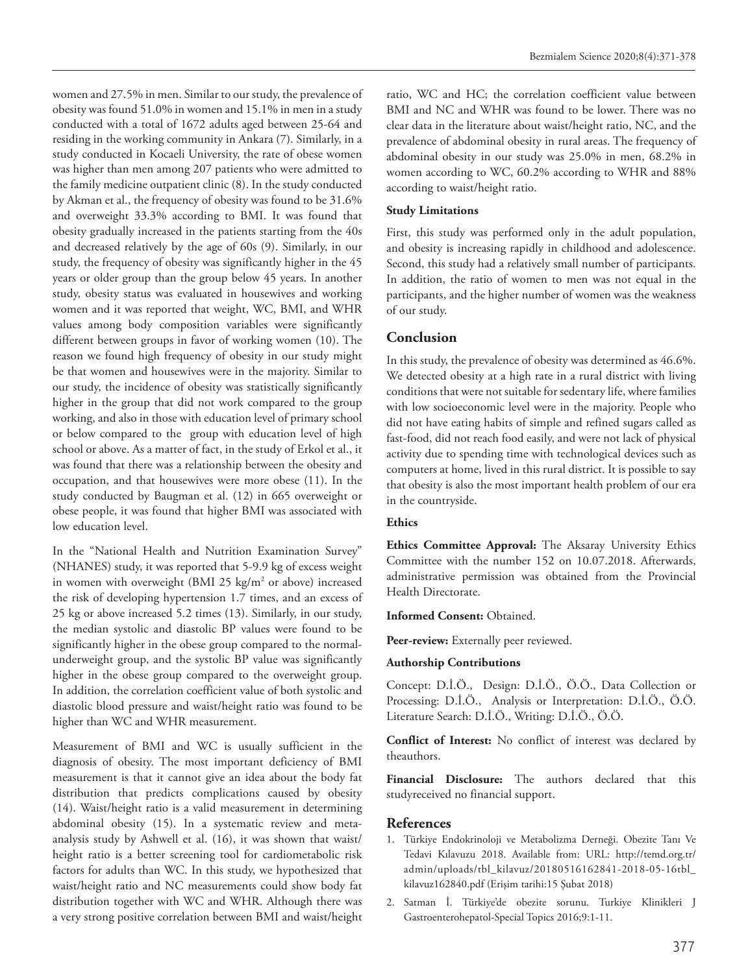women and 27.5% in men. Similar to our study, the prevalence of obesity was found 51.0% in women and 15.1% in men in a study conducted with a total of 1672 adults aged between 25-64 and residing in the working community in Ankara (7). Similarly, in a study conducted in Kocaeli University, the rate of obese women was higher than men among 207 patients who were admitted to the family medicine outpatient clinic (8). In the study conducted by Akman et al., the frequency of obesity was found to be 31.6% and overweight 33.3% according to BMI. It was found that obesity gradually increased in the patients starting from the 40s and decreased relatively by the age of 60s (9). Similarly, in our study, the frequency of obesity was significantly higher in the 45 years or older group than the group below 45 years. In another study, obesity status was evaluated in housewives and working women and it was reported that weight, WC, BMI, and WHR values among body composition variables were significantly different between groups in favor of working women (10). The reason we found high frequency of obesity in our study might be that women and housewives were in the majority. Similar to our study, the incidence of obesity was statistically significantly higher in the group that did not work compared to the group working, and also in those with education level of primary school or below compared to the group with education level of high school or above. As a matter of fact, in the study of Erkol et al., it was found that there was a relationship between the obesity and occupation, and that housewives were more obese (11). In the study conducted by Baugman et al. (12) in 665 overweight or obese people, it was found that higher BMI was associated with low education level.

In the "National Health and Nutrition Examination Survey" (NHANES) study, it was reported that 5-9.9 kg of excess weight in women with overweight (BMI 25 kg/m<sup>2</sup> or above) increased the risk of developing hypertension 1.7 times, and an excess of 25 kg or above increased 5.2 times (13). Similarly, in our study, the median systolic and diastolic BP values were found to be significantly higher in the obese group compared to the normalunderweight group, and the systolic BP value was significantly higher in the obese group compared to the overweight group. In addition, the correlation coefficient value of both systolic and diastolic blood pressure and waist/height ratio was found to be higher than WC and WHR measurement.

Measurement of BMI and WC is usually sufficient in the diagnosis of obesity. The most important deficiency of BMI measurement is that it cannot give an idea about the body fat distribution that predicts complications caused by obesity (14). Waist/height ratio is a valid measurement in determining abdominal obesity (15). In a systematic review and metaanalysis study by Ashwell et al. (16), it was shown that waist/ height ratio is a better screening tool for cardiometabolic risk factors for adults than WC. In this study, we hypothesized that waist/height ratio and NC measurements could show body fat distribution together with WC and WHR. Although there was a very strong positive correlation between BMI and waist/height

ratio, WC and HC; the correlation coefficient value between BMI and NC and WHR was found to be lower. There was no clear data in the literature about waist/height ratio, NC, and the prevalence of abdominal obesity in rural areas. The frequency of abdominal obesity in our study was 25.0% in men, 68.2% in women according to WC, 60.2% according to WHR and 88% according to waist/height ratio.

# **Study Limitations**

First, this study was performed only in the adult population, and obesity is increasing rapidly in childhood and adolescence. Second, this study had a relatively small number of participants. In addition, the ratio of women to men was not equal in the participants, and the higher number of women was the weakness of our study.

# **Conclusion**

In this study, the prevalence of obesity was determined as 46.6%. We detected obesity at a high rate in a rural district with living conditions that were not suitable for sedentary life, where families with low socioeconomic level were in the majority. People who did not have eating habits of simple and refined sugars called as fast-food, did not reach food easily, and were not lack of physical activity due to spending time with technological devices such as computers at home, lived in this rural district. It is possible to say that obesity is also the most important health problem of our era in the countryside.

# **Ethics**

**Ethics Committee Approval:** The Aksaray University Ethics Committee with the number 152 on 10.07.2018. Afterwards, administrative permission was obtained from the Provincial Health Directorate.

**Informed Consent:** Obtained.

Peer-review: Externally peer reviewed.

# **Authorship Contributions**

Concept: D.İ.Ö., Design: D.İ.Ö., Ö.Ö., Data Collection or Processing: D.İ.Ö., Analysis or Interpretation: D.İ.Ö., Ö.Ö. Literature Search: D.İ.Ö., Writing: D.İ.Ö., Ö.Ö.

**Conflict of Interest:** No conflict of interest was declared by theauthors.

**Financial Disclosure:** The authors declared that this studyreceived no financial support.

# **References**

- 1. Türkiye Endokrinoloji ve Metabolizma Derneği. Obezite Tanı Ve Tedavi Kılavuzu 2018. Available from: URL: http://temd.org.tr/ admin/uploads/tbl\_kilavuz/20180516162841-2018-05-16tbl\_ kilavuz162840.pdf (Erişim tarihi:15 Şubat 2018)
- 2. Satman İ. Türkiye'de obezite sorunu. Turkiye Klinikleri J Gastroenterohepatol-Special Topics 2016;9:1-11.